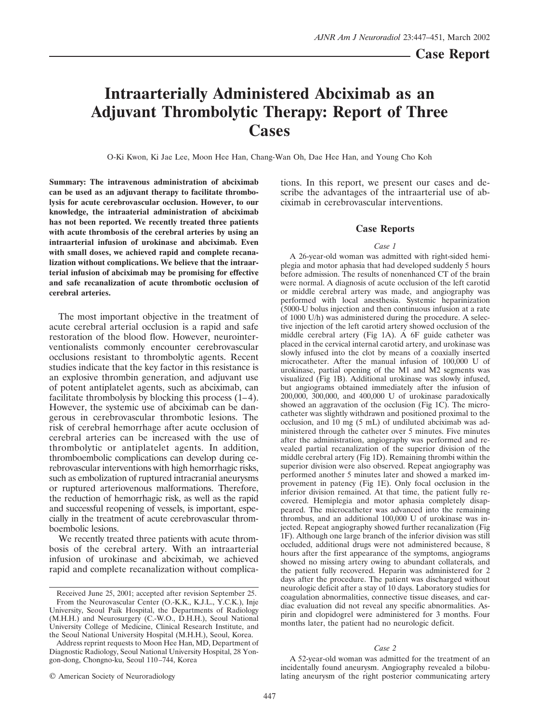# **Intraarterially Administered Abciximab as an Adjuvant Thrombolytic Therapy: Report of Three Cases**

O-Ki Kwon, Ki Jae Lee, Moon Hee Han, Chang-Wan Oh, Dae Hee Han, and Young Cho Koh

**Summary: The intravenous administration of abciximab can be used as an adjuvant therapy to facilitate thrombolysis for acute cerebrovascular occlusion. However, to our knowledge, the intraaterial administration of abciximab has not been reported. We recently treated three patients with acute thrombosis of the cerebral arteries by using an intraarterial infusion of urokinase and abciximab. Even with small doses, we achieved rapid and complete recanalization without complications. We believe that the intraarterial infusion of abciximab may be promising for effective and safe recanalization of acute thrombotic occlusion of cerebral arteries.**

The most important objective in the treatment of acute cerebral arterial occlusion is a rapid and safe restoration of the blood flow. However, neurointerventionalists commonly encounter cerebrovascular occlusions resistant to thrombolytic agents. Recent studies indicate that the key factor in this resistance is an explosive thrombin generation, and adjuvant use of potent antiplatelet agents, such as abciximab, can facilitate thrombolysis by blocking this process  $(1-4)$ . However, the systemic use of abciximab can be dangerous in cerebrovascular thrombotic lesions. The risk of cerebral hemorrhage after acute occlusion of cerebral arteries can be increased with the use of thrombolytic or antiplatelet agents. In addition, thromboembolic complications can develop during cerebrovascular interventions with high hemorrhagic risks, such as embolization of ruptured intracranial aneurysms or ruptured arteriovenous malformations. Therefore, the reduction of hemorrhagic risk, as well as the rapid and successful reopening of vessels, is important, especially in the treatment of acute cerebrovascular thromboembolic lesions.

We recently treated three patients with acute thrombosis of the cerebral artery. With an intraarterial infusion of urokinase and abciximab, we achieved rapid and complete recanalization without complications. In this report, we present our cases and describe the advantages of the intraarterial use of abciximab in cerebrovascular interventions.

# **Case Reports**

#### *Case 1*

A 26-year-old woman was admitted with right-sided hemiplegia and motor aphasia that had developed suddenly 5 hours before admission. The results of nonenhanced CT of the brain were normal. A diagnosis of acute occlusion of the left carotid or middle cerebral artery was made, and angiography was performed with local anesthesia. Systemic heparinization (5000-U bolus injection and then continuous infusion at a rate of 1000 U/h) was administered during the procedure. A selective injection of the left carotid artery showed occlusion of the middle cerebral artery (Fig 1A). A 6F guide catheter was placed in the cervical internal carotid artery, and urokinase was slowly infused into the clot by means of a coaxially inserted microcatheter. After the manual infusion of 100,000 U of urokinase, partial opening of the M1 and M2 segments was visualized (Fig 1B). Additional urokinase was slowly infused, but angiograms obtained immediately after the infusion of 200,000, 300,000, and 400,000 U of urokinase paradoxically showed an aggravation of the occlusion (Fig 1C). The microcatheter was slightly withdrawn and positioned proximal to the occlusion, and 10 mg (5 mL) of undiluted abciximab was administered through the catheter over 5 minutes. Five minutes after the administration, angiography was performed and revealed partial recanalization of the superior division of the middle cerebral artery (Fig 1D). Remaining thrombi within the superior division were also observed. Repeat angiography was performed another 5 minutes later and showed a marked improvement in patency (Fig 1E). Only focal occlusion in the inferior division remained. At that time, the patient fully recovered. Hemiplegia and motor aphasia completely disappeared. The microcatheter was advanced into the remaining thrombus, and an additional 100,000 U of urokinase was injected. Repeat angiography showed further recanalization (Fig 1F). Although one large branch of the inferior division was still occluded, additional drugs were not administered because, 8 hours after the first appearance of the symptoms, angiograms showed no missing artery owing to abundant collaterals, and the patient fully recovered. Heparin was administered for 2 days after the procedure. The patient was discharged without neurologic deficit after a stay of 10 days. Laboratory studies for coagulation abnormalities, connective tissue diseases, and cardiac evaluation did not reveal any specific abnormalities. Aspirin and clopidogrel were administered for 3 months. Four months later, the patient had no neurologic deficit.

#### *Case 2*

A 52-year-old woman was admitted for the treatment of an incidentally found aneurysm. Angiography revealed a bilobulating aneurysm of the right posterior communicating artery

Received June 25, 2001; accepted after revision September 25. From the Neurovascular Center (O.-K.K., K.J.L., Y.C.K.), Inje University, Seoul Paik Hospital, the Departments of Radiology (M.H.H.) and Neurosurgery (C.-W.O., D.H.H.), Seoul National University College of Medicine, Clinical Research Institute, and the Seoul National University Hospital (M.H.H.), Seoul, Korea.

Address reprint requests to Moon Hee Han, MD, Department of Diagnostic Radiology, Seoul National University Hospital, 28 Yongon-dong, Chongno-ku, Seoul 110–744, Korea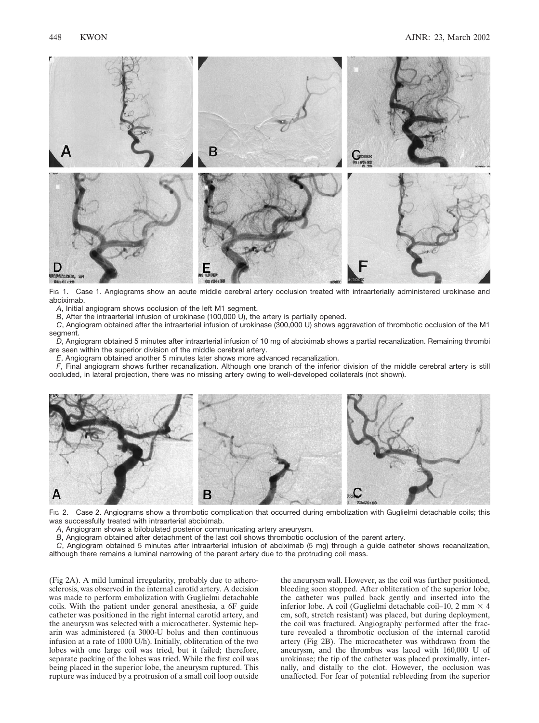

Fig 1. Case 1. Angiograms show an acute middle cerebral artery occlusion treated with intraarterially administered urokinase and abciximab.

*A*, Initial angiogram shows occlusion of the left M1 segment.

*B*, After the intraarterial infusion of urokinase (100,000 U), the artery is partially opened.

*C*, Angiogram obtained after the intraarterial infusion of urokinase (300,000 U) shows aggravation of thrombotic occlusion of the M1 segment.

*D*, Angiogram obtained 5 minutes after intraarterial infusion of 10 mg of abciximab shows a partial recanalization. Remaining thrombi are seen within the superior division of the middle cerebral artery.

*E*, Angiogram obtained another 5 minutes later shows more advanced recanalization.

*F*, Final angiogram shows further recanalization. Although one branch of the inferior division of the middle cerebral artery is still occluded, in lateral projection, there was no missing artery owing to well-developed collaterals (not shown).



Fig 2. Case 2. Angiograms show a thrombotic complication that occurred during embolization with Guglielmi detachable coils; this was successfully treated with intraarterial abciximab.

*A*, Angiogram shows a bilobulated posterior communicating artery aneurysm.

*B*, Angiogram obtained after detachment of the last coil shows thrombotic occlusion of the parent artery.

*C*, Angiogram obtained 5 minutes after intraarterial infusion of abciximab (5 mg) through a guide catheter shows recanalization, although there remains a luminal narrowing of the parent artery due to the protruding coil mass.

(Fig 2A). A mild luminal irregularity, probably due to atherosclerosis, was observed in the internal carotid artery. A decision was made to perform embolization with Guglielmi detachable coils. With the patient under general anesthesia, a 6F guide catheter was positioned in the right internal carotid artery, and the aneurysm was selected with a microcatheter. Systemic heparin was administered (a 3000-U bolus and then continuous infusion at a rate of 1000 U/h). Initially, obliteration of the two lobes with one large coil was tried, but it failed; therefore, separate packing of the lobes was tried. While the first coil was being placed in the superior lobe, the aneurysm ruptured. This rupture was induced by a protrusion of a small coil loop outside

the aneurysm wall. However, as the coil was further positioned, bleeding soon stopped. After obliteration of the superior lobe, the catheter was pulled back gently and inserted into the inferior lobe. A coil (Guglielmi detachable coil-10, 2 mm  $\times$  4 cm, soft, stretch resistant) was placed, but during deployment, the coil was fractured. Angiography performed after the fracture revealed a thrombotic occlusion of the internal carotid artery (Fig 2B). The microcatheter was withdrawn from the aneurysm, and the thrombus was laced with 160,000 U of urokinase; the tip of the catheter was placed proximally, internally, and distally to the clot. However, the occlusion was unaffected. For fear of potential rebleeding from the superior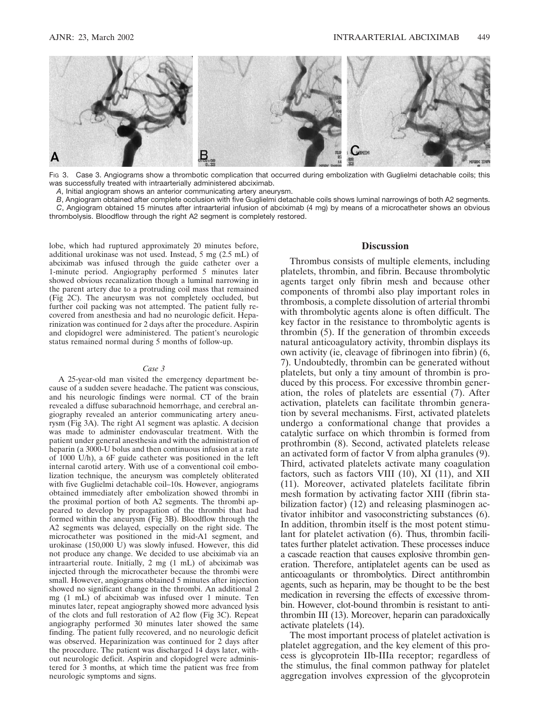

FIG 3. Case 3. Angiograms show a thrombotic complication that occurred during embolization with Guglielmi detachable coils; this was successfully treated with intraarterially administered abciximab.

*A*, Initial angiogram shows an anterior communicating artery aneurysm.

*B*, Angiogram obtained after complete occlusion with five Guglielmi detachable coils shows luminal narrowings of both A2 segments. *C*, Angiogram obtained 15 minutes after intraarterial infusion of abciximab (4 mg) by means of a microcatheter shows an obvious thrombolysis. Bloodflow through the right A2 segment is completely restored.

lobe, which had ruptured approximately 20 minutes before, additional urokinase was not used. Instead, 5 mg (2.5 mL) of abciximab was infused through the guide catheter over a 1-minute period. Angiography performed 5 minutes later showed obvious recanalization though a luminal narrowing in the parent artery due to a protruding coil mass that remained (Fig 2C). The aneurysm was not completely occluded, but further coil packing was not attempted. The patient fully recovered from anesthesia and had no neurologic deficit. Heparinization was continued for 2 days after the procedure. Aspirin and clopidogrel were administered. The patient's neurologic status remained normal during 5 months of follow-up.

#### *Case 3*

A 25-year-old man visited the emergency department because of a sudden severe headache. The patient was conscious, and his neurologic findings were normal. CT of the brain revealed a diffuse subarachnoid hemorrhage, and cerebral angiography revealed an anterior communicating artery aneurysm (Fig 3A). The right A1 segment was aplastic. A decision was made to administer endovascular treatment. With the patient under general anesthesia and with the administration of heparin (a 3000-U bolus and then continuous infusion at a rate of 1000 U/h), a 6F guide catheter was positioned in the left internal carotid artery. With use of a conventional coil embolization technique, the aneurysm was completely obliterated with five Guglielmi detachable coil–10s. However, angiograms obtained immediately after embolization showed thrombi in the proximal portion of both A2 segments. The thrombi appeared to develop by propagation of the thrombi that had formed within the aneurysm (Fig 3B). Bloodflow through the A2 segments was delayed, especially on the right side. The microcatheter was positioned in the mid-A1 segment, and urokinase (150,000  $\dot{U}$ ) was slowly infused. However, this did not produce any change. We decided to use abciximab via an intraarterial route. Initially, 2 mg (1 mL) of abciximab was injected through the microcatheter because the thrombi were small. However, angiograms obtained 5 minutes after injection showed no significant change in the thrombi. An additional 2 mg (1 mL) of abciximab was infused over 1 minute. Ten minutes later, repeat angiography showed more advanced lysis of the clots and full restoration of A2 flow (Fig 3C). Repeat angiography performed 30 minutes later showed the same finding. The patient fully recovered, and no neurologic deficit was observed. Heparinization was continued for 2 days after the procedure. The patient was discharged 14 days later, without neurologic deficit. Aspirin and clopidogrel were administered for 3 months, at which time the patient was free from neurologic symptoms and signs.

# **Discussion**

Thrombus consists of multiple elements, including platelets, thrombin, and fibrin. Because thrombolytic agents target only fibrin mesh and because other components of thrombi also play important roles in thrombosis, a complete dissolution of arterial thrombi with thrombolytic agents alone is often difficult. The key factor in the resistance to thrombolytic agents is thrombin (5). If the generation of thrombin exceeds natural anticoagulatory activity, thrombin displays its own activity (ie, cleavage of fibrinogen into fibrin) (6, 7). Undoubtedly, thrombin can be generated without platelets, but only a tiny amount of thrombin is produced by this process. For excessive thrombin generation, the roles of platelets are essential (7). After activation, platelets can facilitate thrombin generation by several mechanisms. First, activated platelets undergo a conformational change that provides a catalytic surface on which thrombin is formed from prothrombin (8). Second, activated platelets release an activated form of factor V from alpha granules (9). Third, activated platelets activate many coagulation factors, such as factors VIII (10), XI (11), and XII (11). Moreover, activated platelets facilitate fibrin mesh formation by activating factor XIII (fibrin stabilization factor) (12) and releasing plasminogen activator inhibitor and vasoconstricting substances (6). In addition, thrombin itself is the most potent stimulant for platelet activation (6). Thus, thrombin facilitates further platelet activation. These processes induce a cascade reaction that causes explosive thrombin generation. Therefore, antiplatelet agents can be used as anticoagulants or thrombolytics. Direct antithrombin agents, such as heparin, may be thought to be the best medication in reversing the effects of excessive thrombin. However, clot-bound thrombin is resistant to antithrombin III (13). Moreover, heparin can paradoxically activate platelets (14).

The most important process of platelet activation is platelet aggregation, and the key element of this process is glycoprotein IIb-IIIa receptor; regardless of the stimulus, the final common pathway for platelet aggregation involves expression of the glycoprotein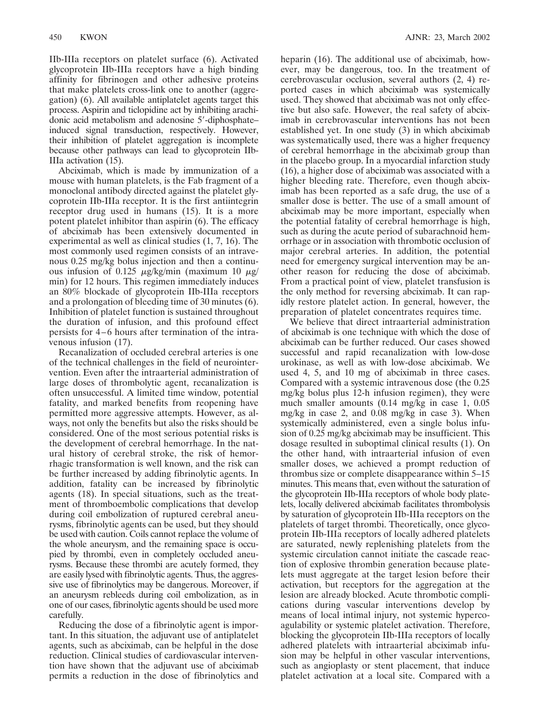IIb-IIIa receptors on platelet surface (6). Activated glycoprotein IIb-IIIa receptors have a high binding affinity for fibrinogen and other adhesive proteins that make platelets cross-link one to another (aggregation) (6). All available antiplatelet agents target this process. Aspirin and ticlopidine act by inhibiting arachidonic acid metabolism and adenosine 5'-diphosphateinduced signal transduction, respectively. However, their inhibition of platelet aggregation is incomplete because other pathways can lead to glycoprotein IIb-IIIa activation (15).

Abciximab, which is made by immunization of a mouse with human platelets, is the Fab fragment of a monoclonal antibody directed against the platelet glycoprotein IIb-IIIa receptor. It is the first antiintegrin receptor drug used in humans (15). It is a more potent platelet inhibitor than aspirin (6). The efficacy of abciximab has been extensively documented in experimental as well as clinical studies (1, 7, 16). The most commonly used regimen consists of an intravenous 0.25 mg/kg bolus injection and then a continuous infusion of 0.125  $\mu$ g/kg/min (maximum 10  $\mu$ g/ min) for 12 hours. This regimen immediately induces an 80% blockade of glycoprotein IIb-IIIa receptors and a prolongation of bleeding time of 30 minutes (6). Inhibition of platelet function is sustained throughout the duration of infusion, and this profound effect persists for 4–6 hours after termination of the intravenous infusion (17).

Recanalization of occluded cerebral arteries is one of the technical challenges in the field of neurointervention. Even after the intraarterial administration of large doses of thrombolytic agent, recanalization is often unsuccessful. A limited time window, potential fatality, and marked benefits from reopening have permitted more aggressive attempts. However, as always, not only the benefits but also the risks should be considered. One of the most serious potential risks is the development of cerebral hemorrhage. In the natural history of cerebral stroke, the risk of hemorrhagic transformation is well known, and the risk can be further increased by adding fibrinolytic agents. In addition, fatality can be increased by fibrinolytic agents (18). In special situations, such as the treatment of thromboembolic complications that develop during coil embolization of ruptured cerebral aneurysms, fibrinolytic agents can be used, but they should be used with caution. Coils cannot replace the volume of the whole aneurysm, and the remaining space is occupied by thrombi, even in completely occluded aneurysms. Because these thrombi are acutely formed, they are easily lysed with fibrinolytic agents. Thus, the aggressive use of fibrinolytics may be dangerous. Moreover, if an aneurysm rebleeds during coil embolization, as in one of our cases, fibrinolytic agents should be used more carefully.

Reducing the dose of a fibrinolytic agent is important. In this situation, the adjuvant use of antiplatelet agents, such as abciximab, can be helpful in the dose reduction. Clinical studies of cardiovascular intervention have shown that the adjuvant use of abciximab permits a reduction in the dose of fibrinolytics and heparin (16). The additional use of abciximab, however, may be dangerous, too. In the treatment of cerebrovascular occlusion, several authors (2, 4) reported cases in which abciximab was systemically used. They showed that abciximab was not only effective but also safe. However, the real safety of abciximab in cerebrovascular interventions has not been established yet. In one study (3) in which abciximab was systematically used, there was a higher frequency of cerebral hemorrhage in the abciximab group than in the placebo group. In a myocardial infarction study (16), a higher dose of abciximab was associated with a higher bleeding rate. Therefore, even though abciximab has been reported as a safe drug, the use of a smaller dose is better. The use of a small amount of abciximab may be more important, especially when the potential fatality of cerebral hemorrhage is high, such as during the acute period of subarachnoid hemorrhage or in association with thrombotic occlusion of major cerebral arteries. In addition, the potential need for emergency surgical intervention may be another reason for reducing the dose of abciximab. From a practical point of view, platelet transfusion is the only method for reversing abciximab. It can rapidly restore platelet action. In general, however, the preparation of platelet concentrates requires time.

We believe that direct intraarterial administration of abciximab is one technique with which the dose of abciximab can be further reduced. Our cases showed successful and rapid recanalization with low-dose urokinase, as well as with low-dose abciximab. We used 4, 5, and 10 mg of abciximab in three cases. Compared with a systemic intravenous dose (the 0.25 mg/kg bolus plus 12-h infusion regimen), they were much smaller amounts (0.14 mg/kg in case 1, 0.05 mg/kg in case 2, and 0.08 mg/kg in case 3). When systemically administered, even a single bolus infusion of 0.25 mg/kg abciximab may be insufficient. This dosage resulted in suboptimal clinical results (1). On the other hand, with intraarterial infusion of even smaller doses, we achieved a prompt reduction of thrombus size or complete disappearance within 5–15 minutes. This means that, even without the saturation of the glycoprotein IIb-IIIa receptors of whole body platelets, locally delivered abciximab facilitates thrombolysis by saturation of glycoprotein IIb-IIIa receptors on the platelets of target thrombi. Theoretically, once glycoprotein IIb-IIIa receptors of locally adhered platelets are saturated, newly replenishing platelets from the systemic circulation cannot initiate the cascade reaction of explosive thrombin generation because platelets must aggregate at the target lesion before their activation, but receptors for the aggregation at the lesion are already blocked. Acute thrombotic complications during vascular interventions develop by means of local intimal injury, not systemic hypercoagulability or systemic platelet activation. Therefore, blocking the glycoprotein IIb-IIIa receptors of locally adhered platelets with intraarterial abciximab infusion may be helpful in other vascular interventions, such as angioplasty or stent placement, that induce platelet activation at a local site. Compared with a